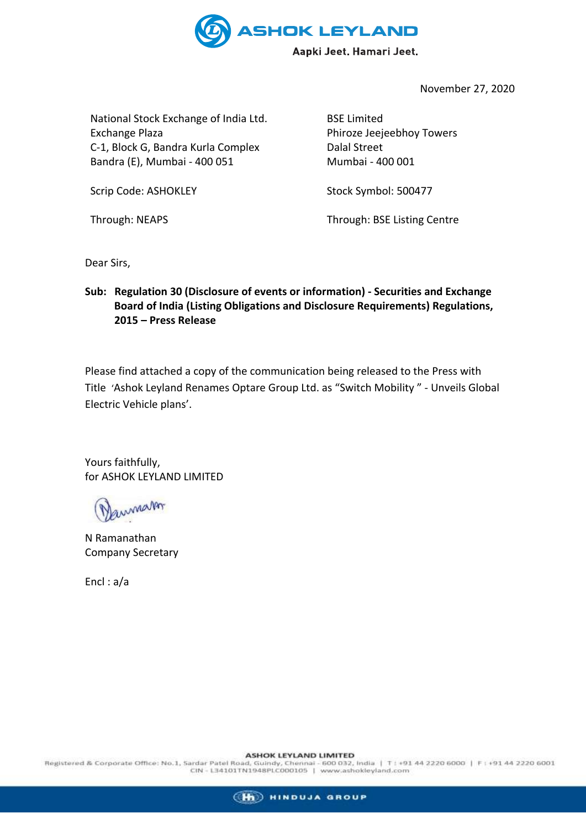

November 27, 2020

National Stock Exchange of India Ltd. Exchange Plaza C-1, Block G, Bandra Kurla Complex Bandra (E), Mumbai - 400 051

Scrip Code: ASHOKLEY

Through: NEAPS

BSE Limited Phiroze Jeejeebhoy Towers Dalal Street Mumbai - 400 001

Stock Symbol: 500477

Through: BSE Listing Centre

Dear Sirs,

**Sub: Regulation 30 (Disclosure of events or information) - Securities and Exchange Board of India (Listing Obligations and Disclosure Requirements) Regulations, 2015 – Press Release**

Please find attached a copy of the communication being released to the Press with Title 'Ashok Leyland Renames Optare Group Ltd. as "Switch Mobility " - Unveils Global Electric Vehicle plans'.

Yours faithfully, for ASHOK LEYLAND LIMITED

annar

N Ramanathan Company Secretary

Encl : a/a

 ${\bf ASHOK LEYLAND LIMITED}$  Registered & Corporate Office: No.1, Sardar Patel Road, Guindy, Chennai - 600 032, India | T : +91 44 2220 6000 | F : +91 44 2220 6001<br>CIN - L34101TN1948PLC000105 | www.ashokleyland.com

(H) HINDUJA GROUP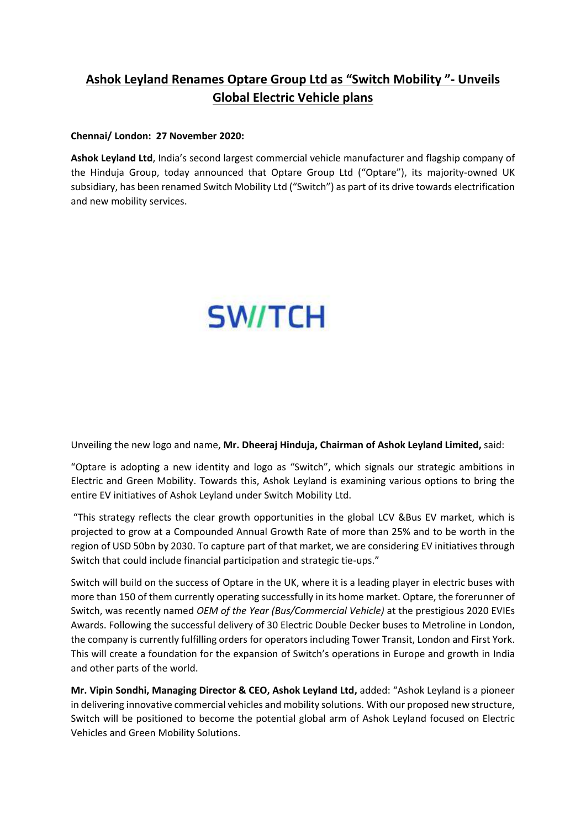## **Ashok Leyland Renames Optare Group Ltd as "Switch Mobility "- Unveils Global Electric Vehicle plans**

#### **Chennai/ London: 27 November 2020:**

**Ashok Leyland Ltd**, India's second largest commercial vehicle manufacturer and flagship company of the Hinduja Group, today announced that Optare Group Ltd ("Optare"), its majority-owned UK subsidiary, has been renamed Switch Mobility Ltd ("Switch") as part of its drive towards electrification and new mobility services.

# **SW/TCH**

Unveiling the new logo and name, **Mr. Dheeraj Hinduja, Chairman of Ashok Leyland Limited,** said:

"Optare is adopting a new identity and logo as "Switch", which signals our strategic ambitions in Electric and Green Mobility. Towards this, Ashok Leyland is examining various options to bring the entire EV initiatives of Ashok Leyland under Switch Mobility Ltd.

"This strategy reflects the clear growth opportunities in the global LCV &Bus EV market, which is projected to grow at a Compounded Annual Growth Rate of more than 25% and to be worth in the region of USD 50bn by 2030. To capture part of that market, we are considering EV initiatives through Switch that could include financial participation and strategic tie-ups."

Switch will build on the success of Optare in the UK, where it is a leading player in electric buses with more than 150 of them currently operating successfully in its home market. Optare, the forerunner of Switch, was recently named *OEM of the Year (Bus/Commercial Vehicle)* at the prestigious 2020 EVIEs Awards. Following the successful delivery of 30 Electric Double Decker buses to Metroline in London, the company is currently fulfilling orders for operators including Tower Transit, London and First York. This will create a foundation for the expansion of Switch's operations in Europe and growth in India and other parts of the world.

**Mr. Vipin Sondhi, Managing Director & CEO, Ashok Leyland Ltd,** added: "Ashok Leyland is a pioneer in delivering innovative commercial vehicles and mobility solutions. With our proposed new structure, Switch will be positioned to become the potential global arm of Ashok Leyland focused on Electric Vehicles and Green Mobility Solutions.